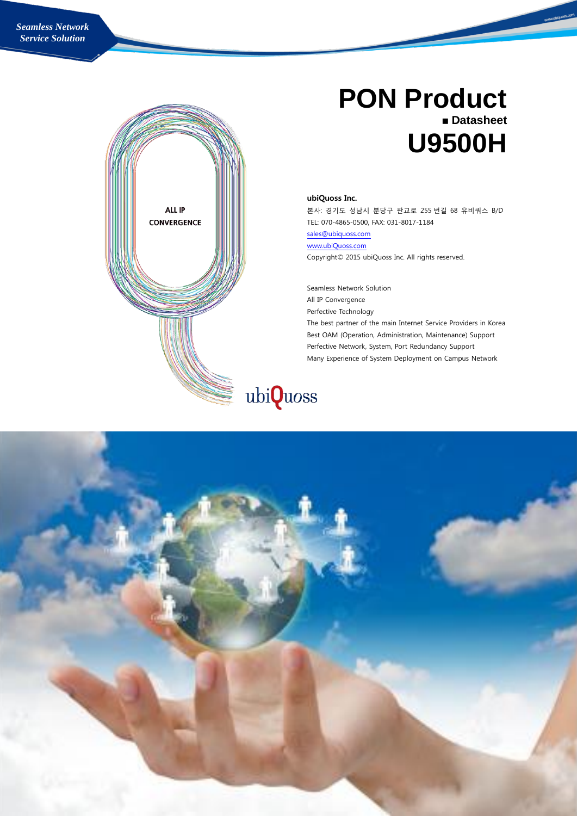

# **PON Product Datasheet U9500H**

#### ubiQuoss Inc.

본사: 경기도 성남시 분당구 판교로 255 번길 68 유비쿼스 B/D TEL: 070-4865-0500, FAX: 031-8017-1184

[sales@ubiquoss.com](mailto:sales@ubiquoss.com)

[www.ubiQuoss.com](http://www.ubiquoss.com/)

Copyright© 2015 ubiQuoss Inc. All rights reserved.

Seamless Network Solution All IP Convergence Perfective Technology The best partner of the main Internet Service Providers in Korea Best OAM (Operation, Administration, Maintenance) Support Perfective Network, System, Port Redundancy Support Many Experience of System Deployment on Campus Network



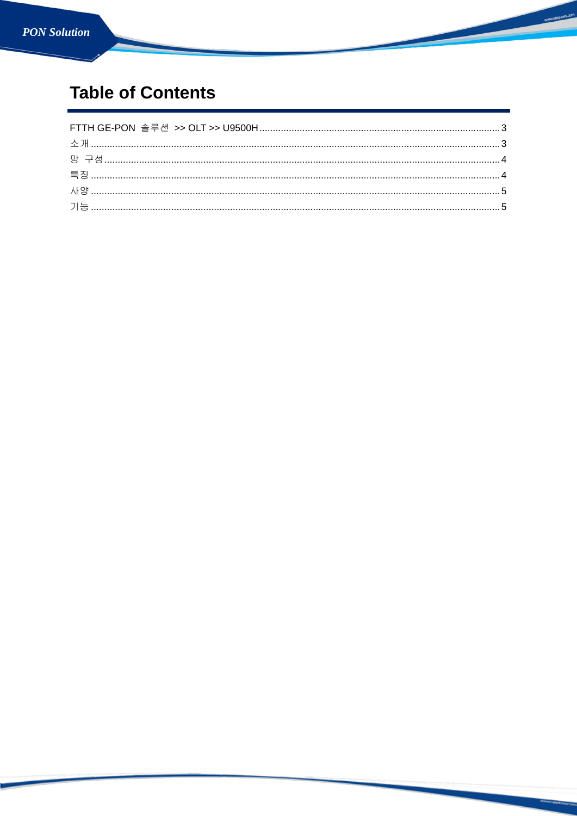## **Table of Contents**

www.ubiqu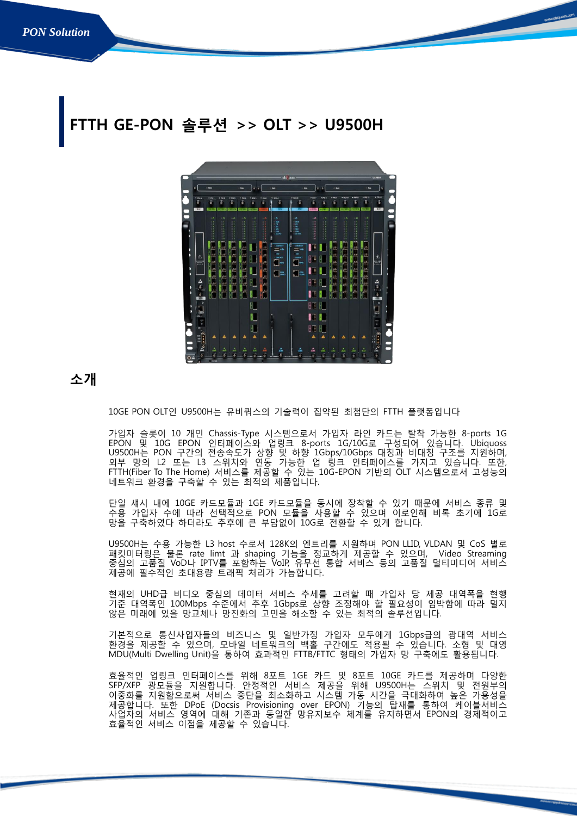# <span id="page-2-0"></span>TH GE-PON 솔루션 >> OLT >> U9500H



### <span id="page-2-1"></span>소개

10GE PON OLT인 U9500H는 유비쿼스의 기술력이 집약된 최첨단의 FTTH 플랫폼입니다

가입자 슬롯이 10 개인 Chassis-Type 시스템으로서 가입자 라인 카드는 탈착 가능한 8-ports 1G EPON 및 10G EPON 인터페이스와 업링크 8-ports 1G/10G로 구성되어 있습니다. Ubiquoss U9500H는 PON 구간의 전송속도가 상향 및 하향 1Gbps/10Gbps 대칭과 비대칭 구조를 지원하며, 외부 망의 L2 또는 L3 스위치와 연동 가능한 업 링크 인터페이스를 가지고 있습니다. 또한, FTTH(Fiber To The Home) 서비스를 제공할 수 있는 10G-EPON 기반의 OLT 시스템으로서 고성능의 네트워크 환경을 구축할 수 있는 최적의 제품입니다.

단일 섀시 내에 10GE 카드모듈과 1GE 카드모듈을 동시에 장착할 수 있기 때문에 서비스 종류 및 수용 가입자 수에 따라 선택적으로 PON 모듈을 사용할 수 있으며 이로인해 비록 초기에 1G로 망을 구축하였다 하더라도 추후에 큰 부담없이 10G로 전환할 수 있게 합니다.

U9500H는 수용 가능한 L3 host 수로서 128K의 엔트리를 지원하며 PON LLID, VLDAN 및 CoS 별로 패킷미터링은 물론 rate limt 과 shaping 기능을 정교하게 제공할 수 있으며, Video Streaming 중심의 고품질 VoD나 IPTV를 포함하는 VoIP, 유무선 통합 서비스 등의 고품질 멀티미디어 서비스 제공에 필수적인 초대용량 트래픽 처리가 가능합니다.

현재의 UHD급 비디오 중심의 데이터 서비스 추세를 고려할 때 가입자 당 제공 대역폭을 현행 기준 대역폭인 100Mbps 수준에서 추후 1Gbps로 상향 조정해야 할 필요성이 임박함에 따라 멀지 않은 미래에 있을 망교체나 망진화의 고민을 해소할 수 있는 최적의 솔루션입니다.

기본적으로 통신사업자들의 비즈니스 및 일반가정 가입자 모두에게 1Gbps급의 광대역 서비스 환경을 제공할 수 있으며, 모바일 네트워크의 백홀 구간에도 적용될 수 있습니다. 소형 및 대영 MDU(Multi Dwelling Unit)을 통하여 효과적인 FTTB/FTTC 형태의 가입자 망 구축에도 활용됩니다.

효율적인 업링크 인터페이스를 위해 8포트 1GE 카드 및 8포트 10GE 카드를 제공하며 다양한 SFP/XFP 광모듈을 지원합니다. 안정적인 서비스 제공을 위해 U9500H는 스위치 및 전원부의 이중화를 지원함으로써 서비스 중단을 최소화하고 시스템 가동 시간을 극대화하여 높은 가용성을 제공합니다. 또한 DPoE (Docsis Provisioning over EPON) 기능의 탑재를 통하여 케이블서비스 사업자의 서비스 영역에 대해 기존과 동일한 망유지보수 체계를 유지하면서 EPON의 경제적이고 효율적인 서비스 이점을 제공할 수 있습니다.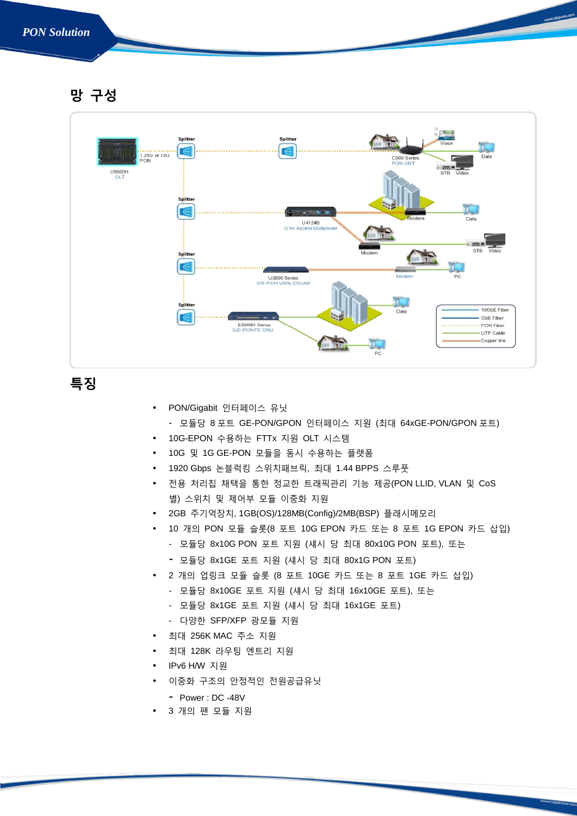#### *PON Solution*

<span id="page-3-0"></span>망 구성



<span id="page-3-1"></span>특징

- PON/Gigabit 인터페이스 유닛
- 모듈당 8 포트 GE-PON/GPON 인터페이스 지원 (최대 64xGE-PON/GPON 포트)
- 10G-EPON 수용하는 FTTx 지원 OLT 시스템
- 10G 및 1G GE-PON 모듈을 동시 수용하는 플랫폼
- 1920 Gbps 논블럭킹 스위치패브릭, 최대 1.44 BPPS 스루풋
- 전용 처리칩 채택을 통한 정교한 트래픽관리 기능 제공(PON LLID, VLAN 및 CoS 별) 스위치 및 제어부 모듈 이중화 지원
- 2GB 주기억장치, 1GB(OS)/128MB(Config)/2MB(BSP) 플래시메모리
- 10 개의 PON 모듈 슬롯(8 포트 10G EPON 카드 또는 8 포트 1G EPON 카드 삽입)
	- 모듈당 8x10G PON 포트 지원 (섀시 당 최대 80x10G PON 포트), 또는
	- 모듈당 8x1GE 포트 지원 (섀시 <sup>당</sup> 최대 80x1G PON 포트)
	- 2 개의 업링크 모듈 슬롯 (8 포트 10GE 카드 또는 8 포트 1GE 카드 삽입)
		- 모듈당 8x10GE 포트 지원 (섀시 당 최대 16x10GE 포트), 또는
		- 모듈당 8x1GE 포트 지원 (섀시 당 최대 16x1GE 포트)
		- 다양한 SFP/XFP 광모듈 지원
- 최대 256K MAC 주소 지원
- 최대 128K 라우팅 엔트리 지원
- IPv6 H/W 지원
- 이중화 구조의 안정적인 전원공급유닛
	- Power : DC -48V
- 3 개의 팬 모듈 지원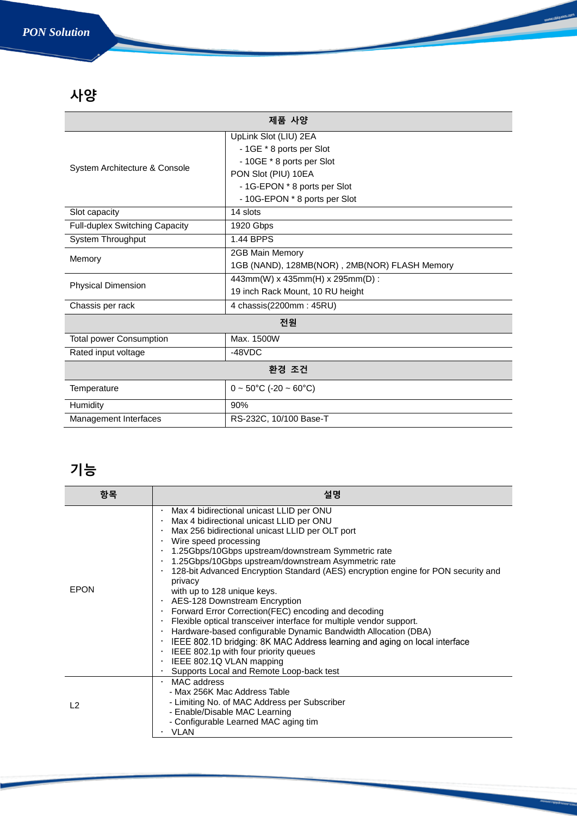### *PON Solution*

## <span id="page-4-0"></span>사양

| 제품 사양                          |                                                   |  |  |
|--------------------------------|---------------------------------------------------|--|--|
| System Architecture & Console  | UpLink Slot (LIU) 2EA<br>- 1GE * 8 ports per Slot |  |  |
|                                | - 10GE * 8 ports per Slot                         |  |  |
|                                | PON Slot (PIU) 10EA                               |  |  |
|                                | - 1G-EPON * 8 ports per Slot                      |  |  |
|                                | - 10G-EPON * 8 ports per Slot                     |  |  |
| Slot capacity                  | 14 slots                                          |  |  |
| Full-duplex Switching Capacity | 1920 Gbps                                         |  |  |
| System Throughput              | 1.44 BPPS                                         |  |  |
| Memory                         | 2GB Main Memory                                   |  |  |
|                                | 1GB (NAND), 128MB(NOR), 2MB(NOR) FLASH Memory     |  |  |
| <b>Physical Dimension</b>      | 443mm(W) x 435mm(H) x 295mm(D) :                  |  |  |
|                                | 19 inch Rack Mount, 10 RU height                  |  |  |
| Chassis per rack               | 4 chassis(2200mm: 45RU)                           |  |  |
| 전원                             |                                                   |  |  |
| <b>Total power Consumption</b> | Max. 1500W                                        |  |  |
| Rated input voltage            | $-48VDC$                                          |  |  |
| 환경 조건                          |                                                   |  |  |
| Temperature                    | $0 \sim 50^{\circ}$ C (-20 ~ 60 $^{\circ}$ C)     |  |  |
| Humidity                       | 90%                                               |  |  |
| Management Interfaces          | RS-232C, 10/100 Base-T                            |  |  |

www.ubiqu

 $\overline{\phantom{0}}$ 

### <span id="page-4-1"></span>기능

| 항목          | 설명                                                                                                                                                                                                                                                                                                                                                                                                                                                                                                                                                                                                                                                                                                                                                                                                                                                                                                   |
|-------------|------------------------------------------------------------------------------------------------------------------------------------------------------------------------------------------------------------------------------------------------------------------------------------------------------------------------------------------------------------------------------------------------------------------------------------------------------------------------------------------------------------------------------------------------------------------------------------------------------------------------------------------------------------------------------------------------------------------------------------------------------------------------------------------------------------------------------------------------------------------------------------------------------|
| <b>EPON</b> | Max 4 bidirectional unicast LLID per ONU<br>Max 4 bidirectional unicast LLID per ONU<br>Max 256 bidirectional unicast LLID per OLT port<br>$\cdot$ Wire speed processing<br>. 1.25Gbps/10Gbps upstream/downstream Symmetric rate<br>1.25Gbps/10Gbps upstream/downstream Asymmetric rate<br>128-bit Advanced Encryption Standard (AES) encryption engine for PON security and<br>privacy<br>with up to 128 unique keys.<br>· AES-128 Downstream Encryption<br>• Forward Error Correction (FEC) encoding and decoding<br>Flexible optical transceiver interface for multiple vendor support.<br>· Hardware-based configurable Dynamic Bandwidth Allocation (DBA)<br>IEEE 802.1D bridging: 8K MAC Address learning and aging on local interface<br>$\bullet$<br>IEEE 802.1p with four priority queues<br>$\bullet$<br>IEEE 802.1Q VLAN mapping<br>$\bullet$<br>Supports Local and Remote Loop-back test |
| $\sqrt{2}$  | $·$ MAC address<br>- Max 256K Mac Address Table<br>- Limiting No. of MAC Address per Subscriber<br>- Enable/Disable MAC Learning<br>- Configurable Learned MAC aging tim<br>VLAN                                                                                                                                                                                                                                                                                                                                                                                                                                                                                                                                                                                                                                                                                                                     |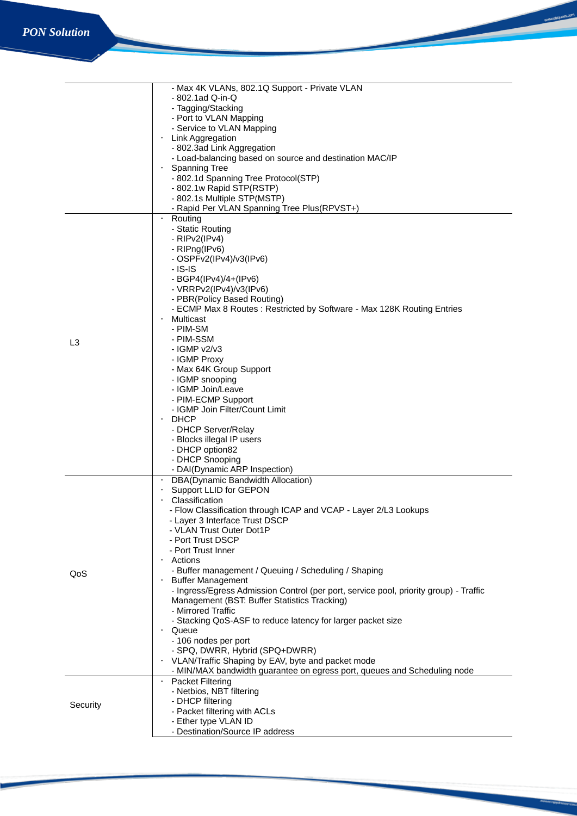| $-802.1$ ad Q-in-Q<br>- Tagging/Stacking<br>- Port to VLAN Mapping<br>- Service to VLAN Mapping<br>Link Aggregation<br>$\bullet$<br>- 802.3ad Link Aggregation<br>- Load-balancing based on source and destination MAC/IP<br><b>Spanning Tree</b><br>- 802.1d Spanning Tree Protocol(STP)<br>- 802.1w Rapid STP(RSTP)<br>- 802.1s Multiple STP(MSTP)<br>- Rapid Per VLAN Spanning Tree Plus(RPVST+)<br>$\bullet$<br>Routing<br>- Static Routing<br>- $RIPv2(IPv4)$<br>- RIPng(IPv6)<br>- OSPFv2(IPv4)/v3(IPv6)<br>$-$ IS-IS<br>- BGP4(IPv4)/4+(IPv6)<br>- $VRRPv2(IPv4)/v3(IPv6)$ |  |
|-----------------------------------------------------------------------------------------------------------------------------------------------------------------------------------------------------------------------------------------------------------------------------------------------------------------------------------------------------------------------------------------------------------------------------------------------------------------------------------------------------------------------------------------------------------------------------------|--|
|                                                                                                                                                                                                                                                                                                                                                                                                                                                                                                                                                                                   |  |
|                                                                                                                                                                                                                                                                                                                                                                                                                                                                                                                                                                                   |  |
|                                                                                                                                                                                                                                                                                                                                                                                                                                                                                                                                                                                   |  |
|                                                                                                                                                                                                                                                                                                                                                                                                                                                                                                                                                                                   |  |
|                                                                                                                                                                                                                                                                                                                                                                                                                                                                                                                                                                                   |  |
|                                                                                                                                                                                                                                                                                                                                                                                                                                                                                                                                                                                   |  |
|                                                                                                                                                                                                                                                                                                                                                                                                                                                                                                                                                                                   |  |
|                                                                                                                                                                                                                                                                                                                                                                                                                                                                                                                                                                                   |  |
|                                                                                                                                                                                                                                                                                                                                                                                                                                                                                                                                                                                   |  |
|                                                                                                                                                                                                                                                                                                                                                                                                                                                                                                                                                                                   |  |
|                                                                                                                                                                                                                                                                                                                                                                                                                                                                                                                                                                                   |  |
|                                                                                                                                                                                                                                                                                                                                                                                                                                                                                                                                                                                   |  |
|                                                                                                                                                                                                                                                                                                                                                                                                                                                                                                                                                                                   |  |
|                                                                                                                                                                                                                                                                                                                                                                                                                                                                                                                                                                                   |  |
|                                                                                                                                                                                                                                                                                                                                                                                                                                                                                                                                                                                   |  |
|                                                                                                                                                                                                                                                                                                                                                                                                                                                                                                                                                                                   |  |
|                                                                                                                                                                                                                                                                                                                                                                                                                                                                                                                                                                                   |  |
|                                                                                                                                                                                                                                                                                                                                                                                                                                                                                                                                                                                   |  |
|                                                                                                                                                                                                                                                                                                                                                                                                                                                                                                                                                                                   |  |
|                                                                                                                                                                                                                                                                                                                                                                                                                                                                                                                                                                                   |  |
| - PBR(Policy Based Routing)                                                                                                                                                                                                                                                                                                                                                                                                                                                                                                                                                       |  |
| - ECMP Max 8 Routes: Restricted by Software - Max 128K Routing Entries                                                                                                                                                                                                                                                                                                                                                                                                                                                                                                            |  |
| Multicast                                                                                                                                                                                                                                                                                                                                                                                                                                                                                                                                                                         |  |
| - PIM-SM                                                                                                                                                                                                                                                                                                                                                                                                                                                                                                                                                                          |  |
| - PIM-SSM<br>L <sub>3</sub>                                                                                                                                                                                                                                                                                                                                                                                                                                                                                                                                                       |  |
| $-$ IGMP $v2/v3$                                                                                                                                                                                                                                                                                                                                                                                                                                                                                                                                                                  |  |
| - IGMP Proxy                                                                                                                                                                                                                                                                                                                                                                                                                                                                                                                                                                      |  |
| - Max 64K Group Support                                                                                                                                                                                                                                                                                                                                                                                                                                                                                                                                                           |  |
| - IGMP snooping                                                                                                                                                                                                                                                                                                                                                                                                                                                                                                                                                                   |  |
| - IGMP Join/Leave                                                                                                                                                                                                                                                                                                                                                                                                                                                                                                                                                                 |  |
| - PIM-ECMP Support                                                                                                                                                                                                                                                                                                                                                                                                                                                                                                                                                                |  |
| - IGMP Join Filter/Count Limit                                                                                                                                                                                                                                                                                                                                                                                                                                                                                                                                                    |  |
| $\cdot$ DHCP                                                                                                                                                                                                                                                                                                                                                                                                                                                                                                                                                                      |  |
| - DHCP Server/Relay                                                                                                                                                                                                                                                                                                                                                                                                                                                                                                                                                               |  |
| - Blocks illegal IP users                                                                                                                                                                                                                                                                                                                                                                                                                                                                                                                                                         |  |
| - DHCP option82                                                                                                                                                                                                                                                                                                                                                                                                                                                                                                                                                                   |  |
| - DHCP Snooping                                                                                                                                                                                                                                                                                                                                                                                                                                                                                                                                                                   |  |
| - DAI(Dynamic ARP Inspection)                                                                                                                                                                                                                                                                                                                                                                                                                                                                                                                                                     |  |
| DBA(Dynamic Bandwidth Allocation)                                                                                                                                                                                                                                                                                                                                                                                                                                                                                                                                                 |  |
| Support LLID for GEPON                                                                                                                                                                                                                                                                                                                                                                                                                                                                                                                                                            |  |
| Classification                                                                                                                                                                                                                                                                                                                                                                                                                                                                                                                                                                    |  |
| - Flow Classification through ICAP and VCAP - Layer 2/L3 Lookups                                                                                                                                                                                                                                                                                                                                                                                                                                                                                                                  |  |
|                                                                                                                                                                                                                                                                                                                                                                                                                                                                                                                                                                                   |  |
| - Layer 3 Interface Trust DSCP                                                                                                                                                                                                                                                                                                                                                                                                                                                                                                                                                    |  |
| - VLAN Trust Outer Dot1P                                                                                                                                                                                                                                                                                                                                                                                                                                                                                                                                                          |  |
| - Port Trust DSCP                                                                                                                                                                                                                                                                                                                                                                                                                                                                                                                                                                 |  |
| - Port Trust Inner                                                                                                                                                                                                                                                                                                                                                                                                                                                                                                                                                                |  |
| $\cdot$ Actions                                                                                                                                                                                                                                                                                                                                                                                                                                                                                                                                                                   |  |
| - Buffer management / Queuing / Scheduling / Shaping                                                                                                                                                                                                                                                                                                                                                                                                                                                                                                                              |  |
| QoS<br><b>Buffer Management</b><br>$\bullet$                                                                                                                                                                                                                                                                                                                                                                                                                                                                                                                                      |  |
| - Ingress/Egress Admission Control (per port, service pool, priority group) - Traffic                                                                                                                                                                                                                                                                                                                                                                                                                                                                                             |  |
| Management (BST: Buffer Statistics Tracking)                                                                                                                                                                                                                                                                                                                                                                                                                                                                                                                                      |  |
| - Mirrored Traffic                                                                                                                                                                                                                                                                                                                                                                                                                                                                                                                                                                |  |
| - Stacking QoS-ASF to reduce latency for larger packet size                                                                                                                                                                                                                                                                                                                                                                                                                                                                                                                       |  |
| Queue<br>$\bullet$                                                                                                                                                                                                                                                                                                                                                                                                                                                                                                                                                                |  |
| - 106 nodes per port                                                                                                                                                                                                                                                                                                                                                                                                                                                                                                                                                              |  |
| - SPQ, DWRR, Hybrid (SPQ+DWRR)                                                                                                                                                                                                                                                                                                                                                                                                                                                                                                                                                    |  |
| VLAN/Traffic Shaping by EAV, byte and packet mode<br>$\bullet$                                                                                                                                                                                                                                                                                                                                                                                                                                                                                                                    |  |
| - MIN/MAX bandwidth guarantee on egress port, queues and Scheduling node                                                                                                                                                                                                                                                                                                                                                                                                                                                                                                          |  |
| · Packet Filtering                                                                                                                                                                                                                                                                                                                                                                                                                                                                                                                                                                |  |
| - Netbios, NBT filtering                                                                                                                                                                                                                                                                                                                                                                                                                                                                                                                                                          |  |
| - DHCP filtering                                                                                                                                                                                                                                                                                                                                                                                                                                                                                                                                                                  |  |
| Security<br>- Packet filtering with ACLs                                                                                                                                                                                                                                                                                                                                                                                                                                                                                                                                          |  |
| - Ether type VLAN ID<br>- Destination/Source IP address                                                                                                                                                                                                                                                                                                                                                                                                                                                                                                                           |  |

www.ubiquoss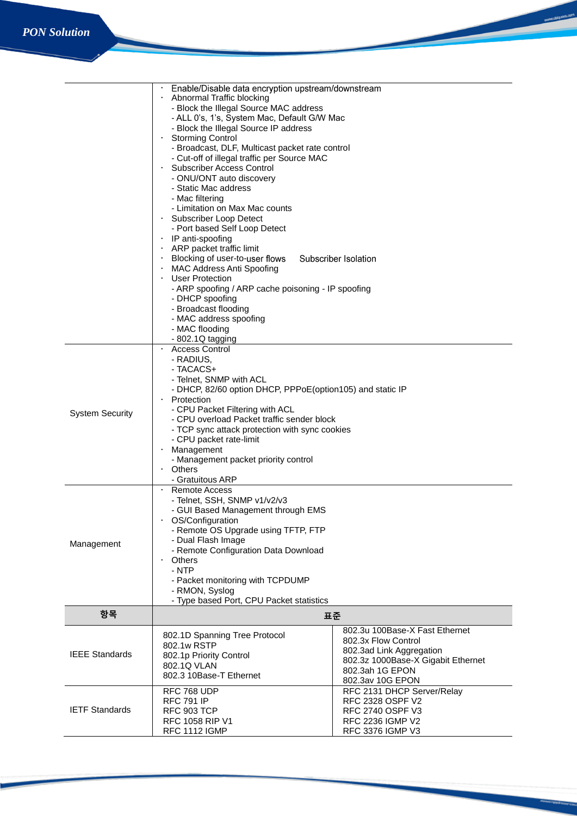|                        | Enable/Disable data encryption upstream/downstream                                                                                                                                                                                                                                                                  |                                    |  |  |
|------------------------|---------------------------------------------------------------------------------------------------------------------------------------------------------------------------------------------------------------------------------------------------------------------------------------------------------------------|------------------------------------|--|--|
|                        | Abnormal Traffic blocking                                                                                                                                                                                                                                                                                           |                                    |  |  |
|                        | - Block the Illegal Source MAC address                                                                                                                                                                                                                                                                              |                                    |  |  |
|                        | - ALL 0's, 1's, System Mac, Default G/W Mac                                                                                                                                                                                                                                                                         |                                    |  |  |
|                        | - Block the Illegal Source IP address                                                                                                                                                                                                                                                                               |                                    |  |  |
|                        | <b>Storming Control</b>                                                                                                                                                                                                                                                                                             |                                    |  |  |
|                        | - Broadcast, DLF, Multicast packet rate control<br>- Cut-off of illegal traffic per Source MAC<br><b>Subscriber Access Control</b><br>$\bullet$<br>- ONU/ONT auto discovery<br>- Static Mac address<br>- Mac filtering<br>- Limitation on Max Mac counts<br>Subscriber Loop Detect<br>- Port based Self Loop Detect |                                    |  |  |
|                        |                                                                                                                                                                                                                                                                                                                     |                                    |  |  |
|                        |                                                                                                                                                                                                                                                                                                                     |                                    |  |  |
|                        |                                                                                                                                                                                                                                                                                                                     |                                    |  |  |
|                        |                                                                                                                                                                                                                                                                                                                     |                                    |  |  |
|                        |                                                                                                                                                                                                                                                                                                                     |                                    |  |  |
|                        |                                                                                                                                                                                                                                                                                                                     |                                    |  |  |
|                        |                                                                                                                                                                                                                                                                                                                     |                                    |  |  |
|                        |                                                                                                                                                                                                                                                                                                                     |                                    |  |  |
|                        | $\cdot$ IP anti-spoofing                                                                                                                                                                                                                                                                                            |                                    |  |  |
|                        | ARP packet traffic limit<br>Blocking of user-to-user flows<br>Subscriber Isolation<br><b>MAC Address Anti Spoofing</b><br>• User Protection<br>- ARP spoofing / ARP cache poisoning - IP spoofing<br>- DHCP spoofing<br>- Broadcast flooding                                                                        |                                    |  |  |
|                        |                                                                                                                                                                                                                                                                                                                     |                                    |  |  |
|                        |                                                                                                                                                                                                                                                                                                                     |                                    |  |  |
|                        |                                                                                                                                                                                                                                                                                                                     |                                    |  |  |
|                        |                                                                                                                                                                                                                                                                                                                     |                                    |  |  |
|                        |                                                                                                                                                                                                                                                                                                                     |                                    |  |  |
|                        |                                                                                                                                                                                                                                                                                                                     |                                    |  |  |
|                        | - MAC address spoofing                                                                                                                                                                                                                                                                                              |                                    |  |  |
|                        | - MAC flooding                                                                                                                                                                                                                                                                                                      |                                    |  |  |
|                        | - 802.1Q tagging                                                                                                                                                                                                                                                                                                    |                                    |  |  |
|                        | <b>Access Control</b>                                                                                                                                                                                                                                                                                               |                                    |  |  |
|                        | - RADIUS,                                                                                                                                                                                                                                                                                                           |                                    |  |  |
|                        | - TACACS+                                                                                                                                                                                                                                                                                                           |                                    |  |  |
|                        | - Telnet, SNMP with ACL                                                                                                                                                                                                                                                                                             |                                    |  |  |
|                        | - DHCP, 82/60 option DHCP, PPPoE(option105) and static IP                                                                                                                                                                                                                                                           |                                    |  |  |
|                        | Protection<br>$\bullet$                                                                                                                                                                                                                                                                                             |                                    |  |  |
| <b>System Security</b> | - CPU Packet Filtering with ACL                                                                                                                                                                                                                                                                                     |                                    |  |  |
|                        | - CPU overload Packet traffic sender block                                                                                                                                                                                                                                                                          |                                    |  |  |
|                        | - TCP sync attack protection with sync cookies                                                                                                                                                                                                                                                                      |                                    |  |  |
|                        | - CPU packet rate-limit                                                                                                                                                                                                                                                                                             |                                    |  |  |
|                        |                                                                                                                                                                                                                                                                                                                     | Management                         |  |  |
|                        | - Management packet priority control                                                                                                                                                                                                                                                                                |                                    |  |  |
|                        | Others                                                                                                                                                                                                                                                                                                              |                                    |  |  |
|                        | - Gratuitous ARP                                                                                                                                                                                                                                                                                                    |                                    |  |  |
|                        | Remote Access                                                                                                                                                                                                                                                                                                       |                                    |  |  |
|                        | - Telnet, SSH, SNMP v1/v2/v3                                                                                                                                                                                                                                                                                        |                                    |  |  |
|                        | - GUI Based Management through EMS                                                                                                                                                                                                                                                                                  |                                    |  |  |
|                        | OS/Configuration                                                                                                                                                                                                                                                                                                    |                                    |  |  |
|                        | - Remote OS Upgrade using TFTP, FTP                                                                                                                                                                                                                                                                                 |                                    |  |  |
| Management             | - Dual Flash Image                                                                                                                                                                                                                                                                                                  |                                    |  |  |
|                        | - Remote Configuration Data Download                                                                                                                                                                                                                                                                                |                                    |  |  |
|                        | Others<br>$\bullet$                                                                                                                                                                                                                                                                                                 |                                    |  |  |
|                        | - NTP                                                                                                                                                                                                                                                                                                               |                                    |  |  |
|                        | - Packet monitoring with TCPDUMP                                                                                                                                                                                                                                                                                    |                                    |  |  |
|                        | - RMON, Syslog                                                                                                                                                                                                                                                                                                      |                                    |  |  |
|                        | - Type based Port, CPU Packet statistics                                                                                                                                                                                                                                                                            |                                    |  |  |
| 항목                     |                                                                                                                                                                                                                                                                                                                     | 표준                                 |  |  |
|                        |                                                                                                                                                                                                                                                                                                                     | 802.3u 100Base-X Fast Ethernet     |  |  |
|                        | 802.1D Spanning Tree Protocol                                                                                                                                                                                                                                                                                       | 802.3x Flow Control                |  |  |
| <b>IEEE Standards</b>  | 802.1w RSTP                                                                                                                                                                                                                                                                                                         | 802.3ad Link Aggregation           |  |  |
|                        | 802.1p Priority Control                                                                                                                                                                                                                                                                                             | 802.3z 1000Base-X Gigabit Ethernet |  |  |
|                        | 802.1Q VLAN                                                                                                                                                                                                                                                                                                         | 802.3ah 1G EPON                    |  |  |
|                        | 802.3 10Base-T Ethernet                                                                                                                                                                                                                                                                                             | 802.3av 10G EPON                   |  |  |
|                        | RFC 768 UDP                                                                                                                                                                                                                                                                                                         | RFC 2131 DHCP Server/Relay         |  |  |
|                        | <b>RFC 791 IP</b>                                                                                                                                                                                                                                                                                                   | RFC 2328 OSPF V2                   |  |  |
| <b>IETF Standards</b>  | <b>RFC 903 TCP</b>                                                                                                                                                                                                                                                                                                  | <b>RFC 2740 OSPF V3</b>            |  |  |
|                        | <b>RFC 1058 RIP V1</b>                                                                                                                                                                                                                                                                                              | <b>RFC 2236 IGMP V2</b>            |  |  |
|                        | <b>RFC 1112 IGMP</b>                                                                                                                                                                                                                                                                                                | RFC 3376 IGMP V3                   |  |  |

www.ubiquos